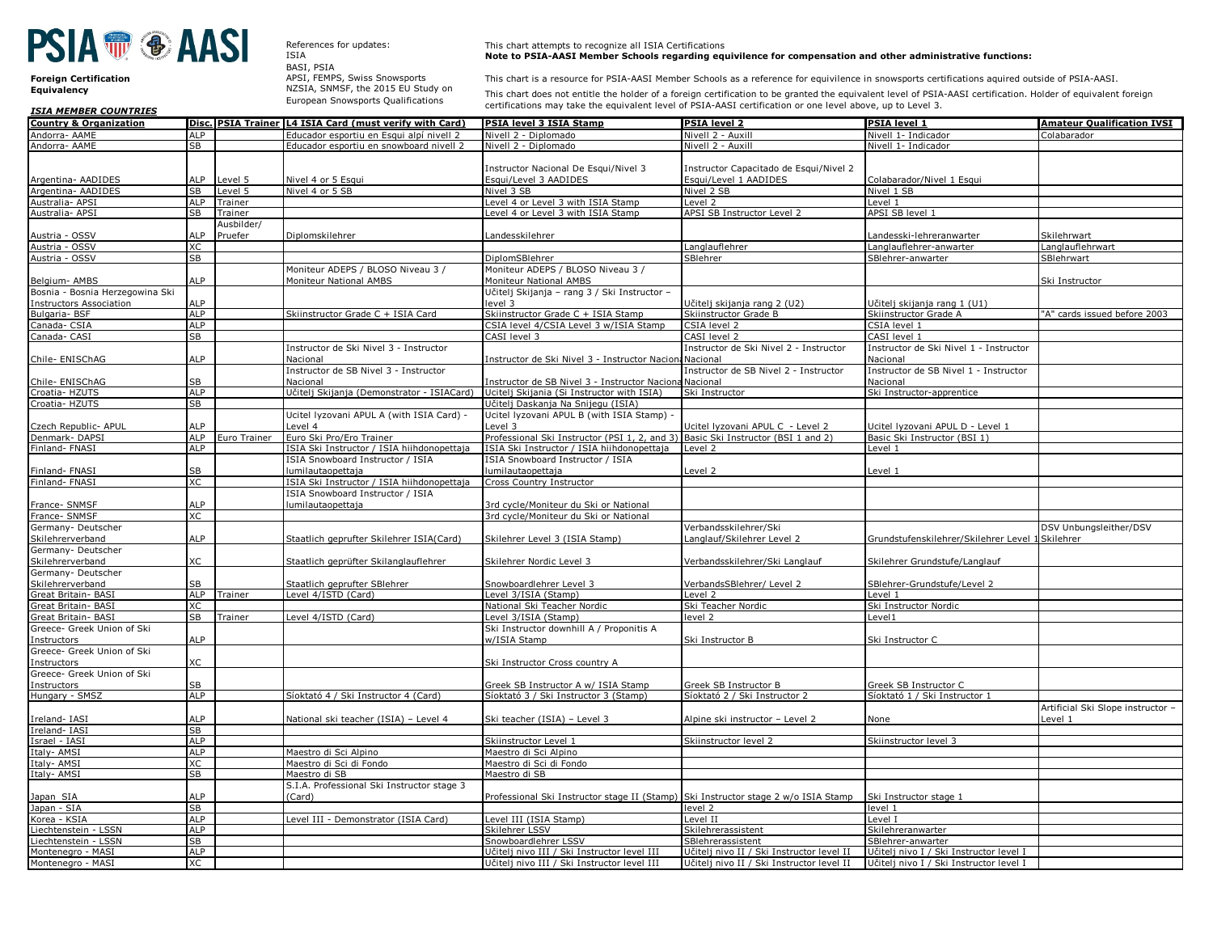## **PSIA ® ® AASI**

**Foreign Certification** 

References for updates: ISIA

BASI, PSIA APSI, FEMPS, Swiss Snowsports **Equivalency** NZSIA, SNMSF, the 2015 EU Study on European Snowsports Qualifications

This chart attempts to recognize all ISIA Certifications **Note to PSIA-AASI Member Schools regarding equivilence for compensation and other administrative functions:**

This chart is a resource for PSIA-AASI Member Schools as a reference for equivilence in snowsports certifications aquired outside of PSIA-AASI.

This chart does not entitle the holder of a foreign certification to be granted the equivalent level of PSIA-AASI certification. Holder of equivalent foreign certifications may take the equivalent level of PSIA-AASI certification or one level above, up to Level 3.

| <b>ISIA MEMBER COUNTRIES</b>           |                        |              |                                                         | certifications may take the equivalent level of PSIA-AASI certification or one level above, up to Level 3. |                                           |                                                  |                                   |
|----------------------------------------|------------------------|--------------|---------------------------------------------------------|------------------------------------------------------------------------------------------------------------|-------------------------------------------|--------------------------------------------------|-----------------------------------|
| <b>Country &amp; Organization</b>      |                        |              | Disc. PSIA Trainer L4 ISIA Card (must verify with Card) | PSIA level 3 ISIA Stamp                                                                                    | <b>PSIA level 2</b>                       | <b>PSIA level 1</b>                              | <b>Amateur Qualification IVSI</b> |
| Andorra- AAME                          | <b>ALP</b>             |              | Educador esportiu en Esqui alpí nivell 2                | Nivell 2 - Diplomado                                                                                       | Nivell 2 - Auxill                         | Nivell 1- Indicador                              | Colabarador                       |
| Andorra- AAME                          | <b>SB</b>              |              | Educador esportiu en snowboard nivell 2                 | Nivell 2 - Diplomado                                                                                       | Nivell 2 - Auxill                         | Nivell 1- Indicador                              |                                   |
|                                        |                        |              |                                                         |                                                                                                            |                                           |                                                  |                                   |
|                                        |                        |              |                                                         | Instructor Nacional De Esqui/Nivel 3                                                                       | Instructor Capacitado de Esqui/Nivel 2    |                                                  |                                   |
| Argentina- AADIDES                     | <b>ILP</b>             | Level 5      | Nivel 4 or 5 Esqui                                      | Esqui/Level 3 AADIDES                                                                                      | Esqui/Level 1 AADIDES                     | Colabarador/Nivel 1 Esqui                        |                                   |
| Argentina- AADIDES                     | SB                     | Level 5      | Nivel 4 or 5 SB                                         | Nivel 3 SB                                                                                                 | Nivel 2 SB                                | Nivel 1 SB                                       |                                   |
| Australia- APSI                        | <b>ALP</b>             | Trainer      |                                                         | Level 4 or Level 3 with ISIA Stamp                                                                         | Level 2                                   | Level 1                                          |                                   |
| Australia- APSI                        | <b>SB</b>              | Trainer      |                                                         | Level 4 or Level 3 with ISIA Stamp                                                                         | APSI SB Instructor Level 2                | APSI SB level 1                                  |                                   |
|                                        |                        | Ausbilder/   |                                                         |                                                                                                            |                                           |                                                  |                                   |
| Austria - OSSV                         |                        | Pruefer      | Diplomskilehrer                                         | andesskilehrer                                                                                             |                                           | andesski-lehreranwarter.                         | Skilehrwart                       |
| Austria - OSSV                         | <b>XC</b>              |              |                                                         |                                                                                                            | anglauflehrer                             | Langlauflehrer-anwarter                          | Langlauflehrwart                  |
| Austria - OSSV                         | SB                     |              |                                                         | DiplomSBlehrer                                                                                             | <b>SBlehrer</b>                           | SBlehrer-anwarter                                | SBlehrwart                        |
|                                        |                        |              | Moniteur ADEPS / BLOSO Niveau 3 /                       | Moniteur ADEPS / BLOSO Niveau 3 /                                                                          |                                           |                                                  |                                   |
| Belgium- AMBS                          | <b>LP</b>              |              | Moniteur National AMBS                                  | Moniteur National AMBS                                                                                     |                                           |                                                  | Ski Instructor                    |
| Bosnia - Bosnia Herzegowina Ski        |                        |              |                                                         | Učitelj Skijanja - rang 3 / Ski Instructor -                                                               |                                           |                                                  |                                   |
| <b>Instructors Association</b>         | <b>ALP</b>             |              |                                                         | level 3                                                                                                    | Jčitelj skijanja rang 2 (U2)              | Jčitelj skijanja rang 1 (U1)                     |                                   |
| Bulgaria-BSF                           | ALP                    |              | Skiinstructor Grade C + ISIA Card                       | Skiinstructor Grade C + ISIA Stamp                                                                         | Skiinstructor Grade B                     | Skiinstructor Grade A                            | "A" cards issued before 2003      |
| Canada- CSIA                           | <b>ALP</b>             |              |                                                         | CSIA level 4/CSIA Level 3 w/ISIA Stamp                                                                     | CSIA level 2                              | CSIA level 1                                     |                                   |
| Canada- CASI                           | <b>SB</b>              |              |                                                         | CASI level 3                                                                                               | CASI level 2                              | CASI level 1                                     |                                   |
|                                        |                        |              | Instructor de Ski Nivel 3 - Instructor                  |                                                                                                            | Instructor de Ski Nivel 2 - Instructor    | Instructor de Ski Nivel 1 - Instructor           |                                   |
| Chile- ENISChAG                        | <b>LP</b>              |              | Nacional                                                | Instructor de Ski Nivel 3 - Instructor Naciona Nacional                                                    |                                           | Nacional                                         |                                   |
|                                        |                        |              | Instructor de SB Nivel 3 - Instructor                   |                                                                                                            | Instructor de SB Nivel 2 - Instructor     | Instructor de SB Nivel 1 - Instructor            |                                   |
| Chile- ENISChAG                        |                        |              | Nacional                                                | Instructor de SB Nivel 3 - Instructor Naciona                                                              | Nacional                                  | Nacional                                         |                                   |
| Croatia- HZUTS                         | <b>ALP</b>             |              | Učitelj Skijanja (Demonstrator - ISIACard)              | Ucitelj Skijania (Si Instructor with ISIA)                                                                 | Ski Instructor                            | Ski Instructor-apprentice                        |                                   |
| Croatia-HZUTS                          | SB                     |              |                                                         | Učitelj Daskanja Na Snijegu (ISIA)                                                                         |                                           |                                                  |                                   |
|                                        |                        |              | Ucitel Iyzovani APUL A (with ISIA Card) -               | Ucitel lyzovani APUL B (with ISIA Stamp) -                                                                 |                                           |                                                  |                                   |
|                                        | <b>ILP</b>             |              | Level 4                                                 | Level 3                                                                                                    | Icitel Iyzovani APUL C - Level 2          | Ucitel Iyzovani APUL D - Level 1                 |                                   |
| Czech Republic- APUL<br>Denmark- DAPSI | ALP                    | Euro Trainer | Euro Ski Pro/Ero Trainer                                | Professional Ski Instructor (PSI 1, 2, and 3)                                                              | Basic Ski Instructor (BSI 1 and 2)        | Basic Ski Instructor (BSI 1)                     |                                   |
| Finland-FNASI                          | <b>ALP</b>             |              | ISIA Ski Instructor / ISIA hiihdonopettaja              | ISIA Ski Instructor / ISIA hiihdonopettaja                                                                 | Level 2                                   | Level 1                                          |                                   |
|                                        |                        |              | ISIA Snowboard Instructor / ISIA                        | ISIA Snowboard Instructor / ISIA                                                                           |                                           |                                                  |                                   |
| Finland-FNASI                          | SВ                     |              | lumilautaopettaja                                       | umilautaopettaja                                                                                           | evel 2                                    | evel 1                                           |                                   |
| Finland- FNASI                         | XC.                    |              | ISIA Ski Instructor / ISIA hiihdonopettaja              | Cross Country Instructor                                                                                   |                                           |                                                  |                                   |
|                                        |                        |              | ISIA Snowboard Instructor / ISIA                        |                                                                                                            |                                           |                                                  |                                   |
| France- SNMSF                          | <b>LP</b>              |              | lumilautaopettaja                                       | 3rd cycle/Moniteur du Ski or National                                                                      |                                           |                                                  |                                   |
|                                        | XC.                    |              |                                                         |                                                                                                            |                                           |                                                  |                                   |
| France- SNMSF                          |                        |              |                                                         | 3rd cycle/Moniteur du Ski or National                                                                      | Verbandsskilehrer/Ski                     |                                                  |                                   |
| Germany- Deutscher                     | <b>LP</b>              |              |                                                         |                                                                                                            |                                           |                                                  | DSV Unbungsleither/DSV            |
| Skilehrerverband                       |                        |              | Staatlich geprufter Skilehrer ISIA(Card)                | Skilehrer Level 3 (ISIA Stamp)                                                                             | anglauf/Skilehrer Level 2                 | Grundstufenskilehrer/Skilehrer Level 1 Skilehrer |                                   |
| Germany- Deutscher                     |                        |              |                                                         |                                                                                                            |                                           |                                                  |                                   |
| Skilehrerverband                       | KC.                    |              | Staatlich geprüfter Skilanglauflehrer                   | Skilehrer Nordic Level 3                                                                                   | Verbandsskilehrer/Ski Langlauf            | Skilehrer Grundstufe/Langlauf                    |                                   |
| Germany- Deutscher                     |                        |              |                                                         |                                                                                                            |                                           |                                                  |                                   |
| Skilehrerverband                       |                        |              | Staatlich geprufter SBlehrer                            | Snowboardlehrer Level 3                                                                                    | VerbandsSBlehrer/ Level 2                 | SBlehrer-Grundstufe/Level 2                      |                                   |
| Great Britain- BASI                    | <b>ALP</b>             | Trainer      | Level 4/ISTD (Card)                                     | Level 3/ISIA (Stamp)                                                                                       | evel <sub>2</sub>                         | Level 1                                          |                                   |
| Great Britain- BASI                    | XC.                    |              |                                                         | National Ski Teacher Nordic                                                                                | Ski Teacher Nordic                        | Ski Instructor Nordic                            |                                   |
| Great Britain- BASI                    | <b>SB</b>              | Trainer      | Level 4/ISTD (Card)                                     | Level 3/ISIA (Stamp)                                                                                       | level 2                                   | Level 1                                          |                                   |
| Greece- Greek Union of Ski             |                        |              |                                                         | Ski Instructor downhill A / Proponitis A                                                                   |                                           |                                                  |                                   |
| Instructors                            | <b>ALP</b>             |              |                                                         | w/ISIA Stamp                                                                                               | Ski Instructor B                          | Ski Instructor C                                 |                                   |
| Greece- Greek Union of Ski             |                        |              |                                                         |                                                                                                            |                                           |                                                  |                                   |
| Instructors                            | $\subset$              |              |                                                         | Ski Instructor Cross country A                                                                             |                                           |                                                  |                                   |
| Greece- Greek Union of Ski             |                        |              |                                                         |                                                                                                            |                                           |                                                  |                                   |
| Instructors                            | SB                     |              |                                                         | Greek SB Instructor A w/ ISIA Stamp                                                                        | Greek SB Instructor B                     | Greek SB Instructor C                            |                                   |
| Hungary - SMSZ                         | <b>ALP</b>             |              | Síoktató 4 / Ski Instructor 4 (Card)                    | Síoktató 3 / Ski Instructor 3 (Stamp)                                                                      | Síoktató 2 / Ski Instructor 2             | Síoktató 1 / Ski Instructor 1                    |                                   |
|                                        |                        |              |                                                         |                                                                                                            |                                           |                                                  | Artificial Ski Slope instructor - |
| Ireland-IASI                           | <b>ILP</b>             |              | National ski teacher (ISIA) - Level 4                   | Ski teacher (ISIA) - Level 3                                                                               | Alpine ski instructor - Level 2           | None                                             | Level 1                           |
| Ireland- IASI                          | SB                     |              |                                                         |                                                                                                            |                                           |                                                  |                                   |
| Israel - IASI                          | <b>ALP</b>             |              |                                                         | Skiinstructor Level 1                                                                                      | Skiinstructor level 2                     | Skiinstructor level 3                            |                                   |
| Italy- AMSI                            | <b>ALP</b>             |              | Maestro di Sci Alpino                                   | Maestro di Sci Alpino                                                                                      |                                           |                                                  |                                   |
| Italy- AMSI                            | XC.                    |              | Maestro di Sci di Fondo                                 | Maestro di Sci di Fondo                                                                                    |                                           |                                                  |                                   |
| Italy- AMSI                            | SB                     |              | Maestro di SB                                           | Maestro di SB                                                                                              |                                           |                                                  |                                   |
|                                        |                        |              | S.I.A. Professional Ski Instructor stage 3              |                                                                                                            |                                           |                                                  |                                   |
| Japan SIA                              | ALP                    |              | (Card)                                                  | Professional Ski Instructor stage II (Stamp) Ski Instructor stage 2 w/o ISIA Stamp                         |                                           | Ski Instructor stage 1                           |                                   |
| Japan - SIA                            | SB                     |              |                                                         |                                                                                                            | evel 2                                    | level 1                                          |                                   |
| Korea - KSIA                           | <b>ALP</b>             |              | Level III - Demonstrator (ISIA Card)                    | Level III (ISIA Stamp)                                                                                     | $_{\rm level~II}$                         | Level I                                          |                                   |
| Liechtenstein - LSSN                   | <b>ALP</b>             |              |                                                         | Skilehrer LSSV                                                                                             | Skilehrerassistent                        | Skilehreranwarter                                |                                   |
| iechtenstein - LSSN                    | $\overline{\text{SB}}$ |              |                                                         | Snowboardlehrer LSSV                                                                                       | SBlehrerassistent                         | SBlehrer-anwarter                                |                                   |
| Montenegro - MASI                      | <b>ALP</b>             |              |                                                         | Učitelj nivo III / Ski Instructor level III                                                                | Učitelj nivo II / Ski Instructor level II | Učitelj nivo I / Ski Instructor level I          |                                   |
| Montenegro - MASI                      | XC                     |              |                                                         | Učitelj nivo III / Ski Instructor level III                                                                | Učitelj nivo II / Ski Instructor level II | Učitelj nivo I / Ski Instructor level I          |                                   |
|                                        |                        |              |                                                         |                                                                                                            |                                           |                                                  |                                   |